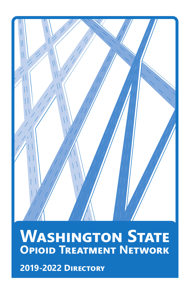

# **WASHINGTON STATE Opioid Treatment Network**

**2019-2022 Directory**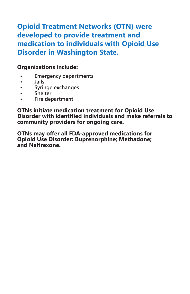# **Opioid Treatment Networks (OTN) were developed to provide treatment and medication to individuals with Opioid Use Disorder in Washington State.**

# **Organizations include:**

- **• Emergency departments**
- **• Jails**
- **• Syringe exchanges**
- **• Shelter**
- **• Fire department**

**OTNs initiate medication treatment for Opioid Use Disorder with identified individuals and make referrals to community providers for ongoing care.** 

**OTNs may offer all FDA-approved medications for Opioid Use Disorder: Buprenorphine; Methadone; and Naltrexone.**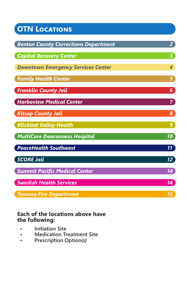| <b>OTN LOCATIONS</b>                                                                           |                                                    |                                      |                 |
|------------------------------------------------------------------------------------------------|----------------------------------------------------|--------------------------------------|-----------------|
| <b>Benton County Corrections Department</b>                                                    | $2^{\circ}$                                        |                                      |                 |
| <b>Capital Recovery Center</b><br><b>Downtown Emergency Services Center</b>                    | 3 <sup>°</sup><br>$\overline{A}$                   |                                      |                 |
|                                                                                                |                                                    | <b>Family Health Center</b>          | 5               |
| <b>Franklin County Jail</b>                                                                    | 6 <sup>1</sup>                                     |                                      |                 |
| <b>Harboview Medical Center</b><br><b>Kitsap County Jail</b><br><b>Klickitat Valley Health</b> | $\mathbf{7}$<br>$\boldsymbol{s}$<br>9 <sup>1</sup> |                                      |                 |
|                                                                                                |                                                    | <b>MultiCare Deaconness Hospital</b> | 10              |
|                                                                                                |                                                    | <b>PeaceHealth Southwest</b>         | $\overline{11}$ |
| <b>SCORE Jail</b>                                                                              | $12^{\circ}$                                       |                                      |                 |
| <b>Summit Pacific Medical Center</b>                                                           | 14)                                                |                                      |                 |
| <b>Swedish Health Services</b>                                                                 | 14 <sup>7</sup>                                    |                                      |                 |
| Tacoma Fire Department                                                                         | 15 <sup>1</sup>                                    |                                      |                 |

# **Each of the locations above have the following:**

- **Initiation Site**
- **Medication Treatment Site**
- **Prescription Option(s)**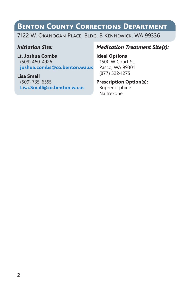# **Benton County Corrections Department**

7122 W. Okanogan Place, Bldg. B Kennewick, WA 99336

### *Initiation Site:*

**Lt. Joshua Combs** (509) 460-4926 **[joshua.combs@co.benton.wa.us](mailto:joshua.combs%40co.benton.wa.us?subject=)**

**Lisa Small** (509) 735-6555 **[Lisa.Small@co.benton.wa.us](mailto:Lisa.Small%40co.benton.wa.us?subject=)**

# *Medication Treatment Site(s):*

**Ideal Options** 1500 W Court St. Pasco, WA 99301 (877) 522-1275

### **Prescription Option(s):**

Buprenorphine Naltrexone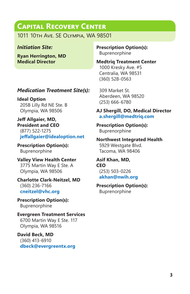# **Capital Recovery Center**

1011 10th Ave. SE Olympia, WA 98501

### *Initiation Site:*

**Ryan Herrington, MD Medical Director**

# *Medication Treatment Site(s):*

**Ideal Option** 205B Lilly Rd NE Ste. B Olympia, WA 98506

**Jeff Allgaier, MD, President and CEO** (877) 522-1275 **[jeffallgaier@idealoption.net](mailto:jeffallgaier%40idealoption.net?subject=)**

**Prescription Option(s):** Buprenorphine

**Valley View Health Center** 3775 Martin Way E Ste. A Olympia, WA 98506

**Charlotte Clark-Neitzel, MD** (360) 236-7166 **[cneitzel@vhc.org](mailto:cneitzel%40vhc.org?subject=)**

**Prescription Option(s):** Buprenorphine

**Evergreen Treatment Services** 6700 Martin Way E Ste. 117 Olympia, WA 98516

**David Beck, MD**  (360) 413-6910 **[dbeck@evergreentx.org](mailto:dbeck%40evergreentx.org?subject=)** **Prescription Option(s):** Buprenorphine

**Medtriq Treatment Center** 1000 Kresky Ave. #5 Centralia, WA 98531 (360) 528-0563

309 Market St. Aberdeen, WA 98520 (253) 666-6780

#### **AJ Shergill, DO, Medical Director [a.shergill@medtriq.com](mailto:a.shergill%40medtriq.com?subject=)**

**Prescription Option(s):** Buprenorphine

**Northwest Integrated Health** 5929 Westgate Blvd. Tacoma, WA 98406

**Asif Khan, MD, CEO**  (253) 503-0226 **[akhan@nwih.org](mailto:akhan%40nwih.org?subject=)**

#### **Prescription Option(s):** Buprenorphine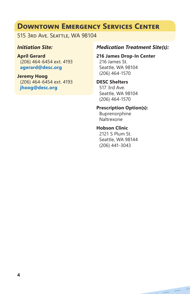# **Downtown Emergency Services Center**

515 3rd Ave. Seattle, WA 98104

### *Initiation Site:*

**April Gerard** (206) 464-6454 ext. 4193 **[agerard@desc.org](mailto:agerard%40desc.org?subject=)**

**Jeremy Hoog** (206) 464-6454 ext. 4193 **[jhoog@desc.org](mailto:jhoog%40desc.org?subject=)**

#### *Medication Treatment Site(s):*

**216 James Drop-In Center** 216 James St. Seattle, WA 98104 (206) 464-1570

#### **DESC Shelters**

517 3rd Ave. Seattle, WA 98104 (206) 464-1570

#### **Prescription Option(s):**

Buprenorphine Naltrexone

### **Hobson Clinic**

2121 S Plum St. Seattle, WA 98144 (206) 441-3043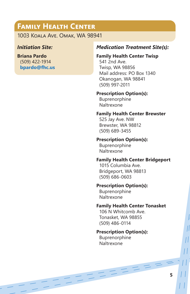# **Family Health Center**

1003 Koala Ave. Omak, WA 98941

#### *Initiation Site:*

**Briana Pardo** (509) 422-1914 **[bpardo@fhc.us](mailto:bpardo%40fhc.us?subject=)**

### *Medication Treatment Site(s):*

#### **Family Health Center Twisp**

541 2nd Ave. Twisp, WA 98856 Mail address: PO Box 1340 Okanogan, WA 98841 (509) 997-2011

#### **Prescription Option(s):**

Buprenorphine Naltrexone

#### **Family Health Center Brewster**

525 Jay Ave. NW Brewster, WA 98812 (509) 689-3455

#### **Prescription Option(s):**

Buprenorphine Naltrexone

#### **Family Health Center Bridgeport**

1015 Columbia Ave. Bridgeport, WA 98813 (509) 686-0603

#### **Prescription Option(s):**

Buprenorphine Naltrexone

#### **Family Health Center Tonasket**

 $=$   $=$   $=$ 

106 N Whitcomb Ave. Tonasket, WA 98855 (509) 486-0114

#### **Prescription Option(s):**

Buprenorphine Naltrexone

 $-221$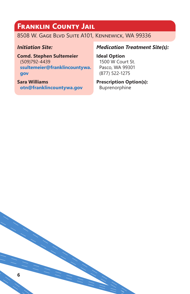# **Franklin County Jail**

# 8508 W. Gage Blvd Suite A101, Kennewick, WA 99336

#### *Initiation Site:*

**Comd. Stephen Sultemeier** (509)792-4439 **[ssultemeier@franklincountywa.](mailto:ssultemeier%40franklincountywa.gov?subject=) [gov](mailto:ssultemeier%40franklincountywa.gov?subject=)**

**Sara Williams [otn@franklincountywa.gov](mailto:otn%40franklincountywa.gov?subject=)**

### *Medication Treatment Site(s):*

**Ideal Option** 1500 W Court St. Pasco, WA 99301 (877) 522-1275

# **Prescription Option(s):**

Buprenorphine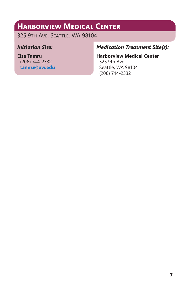# **Harborview Medical Center**

325 9th Ave. Seattle, WA 98104

### *Initiation Site:*

**Elsa Tamru** (206) 744-2332 **[tamru@uw.edu](mailto:tamru%40uw.edu?subject=)**

# *Medication Treatment Site(s):*

# **Harborview Medical Center**

325 9th Ave. Seattle, WA 98104 (206) 744-2332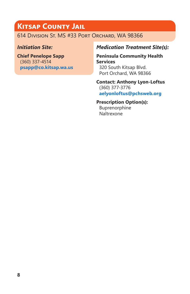# **Kitsap County Jail**

614 Division St. MS #33 Port Orchard, WA 98366

# *Initiation Site:*

**Chief Penelope Sapp** (360) 337-4514 **[psapp@co.kitsap.wa.us](mailto:psapp%40co.kitsap.wa.us?subject=)**

# *Medication Treatment Site(s):*

**Peninsula Community Health Services** 320 South Kitsap Blvd. Port Orchard, WA 98366

**Contact: Anthony Lyon-Loftus** (360) 377-3776 **[aelyonloftus@pchsweb.org](mailto:aelyonloftus%40pchsweb.org?subject=)**

# **Prescription Option(s):**

Buprenorphine Naltrexone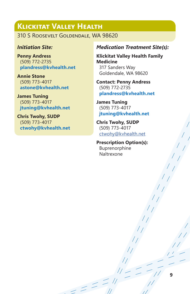# **Klickitat Valley Health**

310 S Roosevelt Goldendale, WA 98620

#### *Initiation Site:*

**Penny Andress** (509) 772-2735 **[plandress@kvhealth.net](mailto:plandress%40kvhealth.net?subject=)**

**Annie Stone** (509) 773-4017 **[astone@kvhealth.net](mailto:astone%40kvhealth.net?subject=)**

**James Tuning** (509) 773-4017 **[jtuning@kvhealth.net](mailto:jtuning%40kvhealth.net?subject=)**

**Chris Twohy, SUDP** (509) 773-4017 **[ctwohy@kvhealth.net](mailto:ctwohy%40kvhealth.net?subject=)**

#### *Medication Treatment Site(s):*

**Klickitat Valley Health Family Medicine** 317 Sanders Way Goldendale, WA 98620

**Contact: Penny Andress** (509) 772-2735 **[plandress@kvhealth.net](mailto:plandress%40kvhealth.net?subject=)**

**James Tuning** (509) 773-4017 **[jtuning@kvhealth.net](mailto:jtuning%40kvhealth.net?subject=)**

**Chris Twohy, SUDP** (509) 773-4017 [ctwohy@kvhealth.net](mailto:ctwohy%40kvhealth.net?subject=)

**Prescription Option(s):** Buprenorphine Naltrexone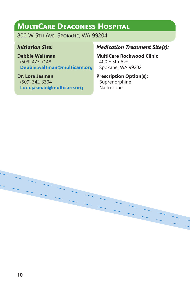# **MultiCare Deaconess Hospital**

800 W 5th Ave. Spokane, WA 99204

### *Initiation Site:*

**Debbie Waltman** (509) 473-7148 **[Debbie.waltman@multicare.org](mailto:Debbie.waltman%40multicare.org?subject=)**

**Dr. Lora Jasman** (509) 342-3304 **[Lora.jasman@multicare.org](mailto:Lora.jasman%40multicare.org?subject=)**

### *Medication Treatment Site(s):*

**MultiCare Rockwood Clinic** 400 E 5th Ave. Spokane, WA 99202

# **Prescription Option(s):** Buprenorphine

Naltrexone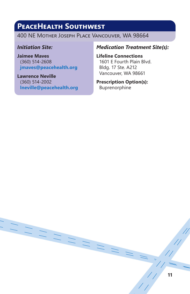# **PeaceHealth Southwest**

400 NE Mother Joseph Place Vancouver, WA 98664

### *Initiation Site:*

**Jaimee Maves** (360) 514-2608 **[jmaves@peacehealth.org](mailto:jmaves%40peacehealth.org?subject=)**

**Lawrence Neville** (360) 514-2002 **[lneville@peacehealth.org](mailto:lneville%40peacehealth.org?subject=)**

### *Medication Treatment Site(s):*

**Lifeline Connections** 1601 E Fourth Plain Blvd. Bldg. 17 Ste. A212 Vancouver, WA 98661

#### **Prescription Option(s):** Buprenorphine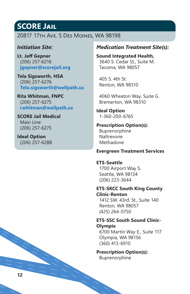# **SCORE Jail**

### 20817 17th Ave. S Des Moines, WA 98198

#### *Initiation Site:*

**Lt. Jeff Gepner** (206) 257-6216 **[jgepner@scorejail.org](mailto:jgepner%40scorejail.org?subject=)**

**Tela Sigsworth, HSA**  (206) 257-6276 **[Tela.sigsworth@wellpath.us](mailto:Tela.sigsworth%40wellpath.us?subject=)**

**Rita Whitman, FNPC** (206) 257-6275 **[rwhitman@wellpath.us](mailto:rwhitman%40wellpath.us?subject=)**

**SCORE Jail Medical** Main Line (206) 257-6275

**Ideal Option** (206) 257-6288

#### *Medication Treatment Site(s):*

**Sound Integrated Health,**  3640 S. Cedar St., Suite M. Tacoma, WA 98057

405 S. 4th St. Renton, WA 98310

4060 Wheaton Way, Suite G. Bremerton, WA 98310

**Ideal Option** 1-360-200-6765

**Prescription Option(s):** Buprenorphine Naltrexone Methadone

#### **Evergreen Treatment Services**

**ETS-Seattle** 1700 Airport Way S. Seattle, WA 98134 (206) 223-3644

**ETS-SKCC South King County Clinic-Renton**

1412 SW. 43rd. St., Suite 140 Renton, WA 98057 (425) 264-0750

#### **ETS-SSC South Sound Clinic-Olympia**

6700 Martin Way E., Suite 117 Olympia, WA 98156 (360) 413-6910

**Prescription Option(s):** Buprenorphine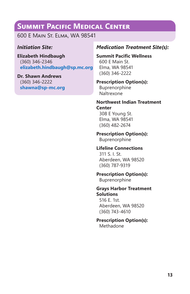# **Summit Pacific Medical Center**

600 E Main St. Elma, WA 98541

### *Initiation Site:*

**Elizabeth Hindbaugh** (360) 346-2346 **[elizabeth.hindbaugh@sp.mc.org](mailto:elizabeth.hindbaugh%40sp.mc.org?subject=)**

**Dr. Shawn Andrews** (360) 346-2222 **[shawna@sp-mc.org](mailto:shawna%40sp-mc.org?subject=)**

### *Medication Treatment Site(s):*

**Summit Pacific Wellness** 600 E Main St.

Elma, WA 98541 (360) 346-2222

#### **Prescription Option(s):**

Buprenorphine Naltrexone

**Northwest Indian Treatment Center**

308 E Young St. Elma, WA 98541 (360) 482-2674

#### **Prescription Option(s):**

Buprenorphine

#### **Lifeline Connections**

311 S. I. St. Aberdeen, WA 98520 (360) 787-9319

### **Prescription Option(s):**

Buprenorphine

#### **Grays Harbor Treatment Solutions**

516 E. 1st. Aberdeen, WA 98520 (360) 743-4610

#### **Prescription Option(s):**

Methadone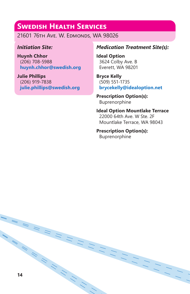# **Swedish Health Services**

21601 76th Ave. W. Edmonds, WA 98026

### *Initiation Site:*

**Huynh Chhor** (206) 708-5988 **[huynh.chhor@swedish.org](mailto:huynh.chhor%40swedish.org?subject=)**

**Julie Phillips** (206) 919-7838 **[julie.phillips@swedish.org](mailto:julie.phillips%40swedish.org?subject=)**

### *Medication Treatment Site(s):*

**Ideal Option**  3624 Colby Ave. B Everett, WA 98201

**Bryce Kelly** (509) 551-1735 **[brycekelly@idealoption.net](mailto:brycekelly%40idealoption.net?subject=)**

**Prescription Option(s):** Buprenorphine

**Ideal Option Mountlake Terrace**  22000 64th Ave. W Ste. 2F Mountlake Terrace, WA 98043

# **Prescription Option(s):**

Buprenorphine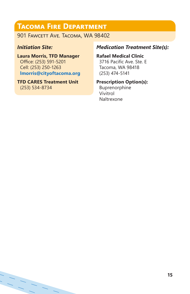# **Tacoma Fire Department**

901 FAWCETT AVE. TACOMA, WA 98402

### *Initiation Site:*

**Laura Morris, TFD Manager** Office: (253) 591-5201 Cell: (253) 250-1263 **[lmorris@cityoftacoma.org](mailto:lmorris%40cityoftacoma.org?subject=)**

**TFD CARES Treatment Unit** (253) 534-8734

# *Medication Treatment Site(s):*

**Rafael Medical Clinic**  3716 Pacific Ave. Ste. E Tacoma, WA 98418 (253) 474-5141

#### **Prescription Option(s):**

Buprenorphine Vivitrol Naltrexone